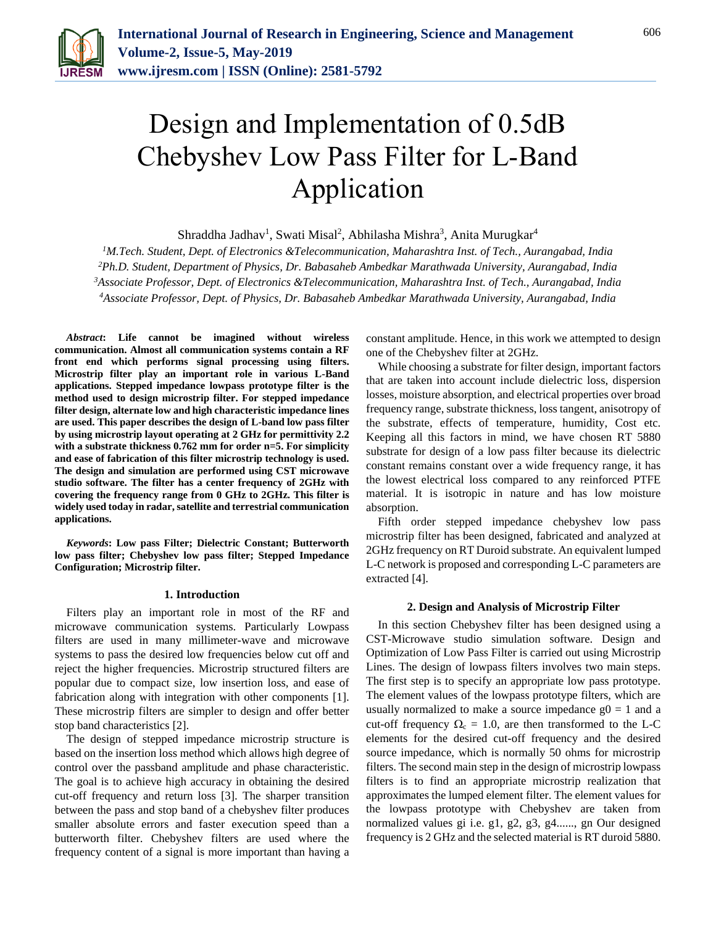

# Design and Implementation of 0.5dB Chebyshev Low Pass Filter for L-Band Application

Shraddha Jadhav<sup>1</sup>, Swati Misal<sup>2</sup>, Abhilasha Mishra<sup>3</sup>, Anita Murugkar<sup>4</sup>

*M.Tech. Student, Dept. of Electronics &Telecommunication, Maharashtra Inst. of Tech., Aurangabad, India Ph.D. Student, Department of Physics, Dr. Babasaheb Ambedkar Marathwada University, Aurangabad, India Associate Professor, Dept. of Electronics &Telecommunication, Maharashtra Inst. of Tech., Aurangabad, India Associate Professor, Dept. of Physics, Dr. Babasaheb Ambedkar Marathwada University, Aurangabad, India*

*Abstract***: Life cannot be imagined without wireless communication. Almost all communication systems contain a RF front end which performs signal processing using filters. Microstrip filter play an important role in various L-Band applications. Stepped impedance lowpass prototype filter is the method used to design microstrip filter. For stepped impedance filter design, alternate low and high characteristic impedance lines are used. This paper describes the design of L-band low pass filter by using microstrip layout operating at 2 GHz for permittivity 2.2 with a substrate thickness 0.762 mm for order n=5. For simplicity and ease of fabrication of this filter microstrip technology is used. The design and simulation are performed using CST microwave studio software. The filter has a center frequency of 2GHz with covering the frequency range from 0 GHz to 2GHz. This filter is widely used today in radar, satellite and terrestrial communication applications.**

*Keywords***: Low pass Filter; Dielectric Constant; Butterworth low pass filter; Chebyshev low pass filter; Stepped Impedance Configuration; Microstrip filter.**

#### **1. Introduction**

Filters play an important role in most of the RF and microwave communication systems. Particularly Lowpass filters are used in many millimeter-wave and microwave systems to pass the desired low frequencies below cut off and reject the higher frequencies. Microstrip structured filters are popular due to compact size, low insertion loss, and ease of fabrication along with integration with other components [1]. These microstrip filters are simpler to design and offer better stop band characteristics [2].

The design of stepped impedance microstrip structure is based on the insertion loss method which allows high degree of control over the passband amplitude and phase characteristic. The goal is to achieve high accuracy in obtaining the desired cut-off frequency and return loss [3]. The sharper transition between the pass and stop band of a chebyshev filter produces smaller absolute errors and faster execution speed than a butterworth filter. Chebyshev filters are used where the frequency content of a signal is more important than having a constant amplitude. Hence, in this work we attempted to design one of the Chebyshev filter at 2GHz.

While choosing a substrate for filter design, important factors that are taken into account include dielectric loss, dispersion losses, moisture absorption, and electrical properties over broad frequency range, substrate thickness, loss tangent, anisotropy of the substrate, effects of temperature, humidity, Cost etc. Keeping all this factors in mind, we have chosen RT 5880 substrate for design of a low pass filter because its dielectric constant remains constant over a wide frequency range, it has the lowest electrical loss compared to any reinforced PTFE material. It is isotropic in nature and has low moisture absorption.

Fifth order stepped impedance chebyshev low pass microstrip filter has been designed, fabricated and analyzed at 2GHz frequency on RT Duroid substrate. An equivalent lumped L-C network is proposed and corresponding L-C parameters are extracted [4].

#### **2. Design and Analysis of Microstrip Filter**

In this section Chebyshev filter has been designed using a CST-Microwave studio simulation software. Design and Optimization of Low Pass Filter is carried out using Microstrip Lines. The design of lowpass filters involves two main steps. The first step is to specify an appropriate low pass prototype. The element values of the lowpass prototype filters, which are usually normalized to make a source impedance  $g0 = 1$  and a cut-off frequency  $\Omega_c = 1.0$ , are then transformed to the L-C elements for the desired cut-off frequency and the desired source impedance, which is normally 50 ohms for microstrip filters. The second main step in the design of microstrip lowpass filters is to find an appropriate microstrip realization that approximates the lumped element filter. The element values for the lowpass prototype with Chebyshev are taken from normalized values gi i.e. g1, g2, g3, g4......, gn Our designed frequency is 2 GHz and the selected material is RT duroid 5880.